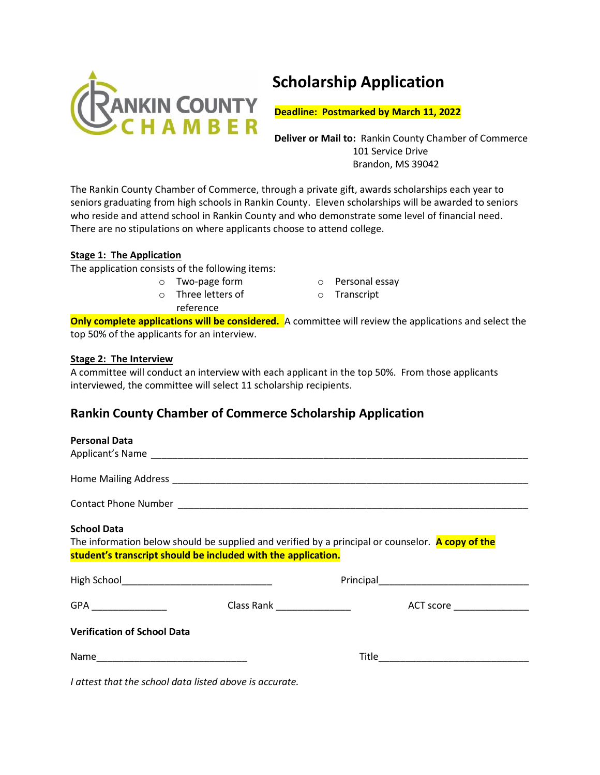

# **Scholarship Application**

 **Deadline: Postmarked by March 11, 2022**

 **Deliver or Mail to:** Rankin County Chamber of Commerce 101 Service Drive Brandon, MS 39042

The Rankin County Chamber of Commerce, through a private gift, awards scholarships each year to seniors graduating from high schools in Rankin County. Eleven scholarships will be awarded to seniors who reside and attend school in Rankin County and who demonstrate some level of financial need. There are no stipulations on where applicants choose to attend college.

# **Stage 1: The Application**

The application consists of the following items:

o Two-page form o Three letters of

reference

- o Personal essay
- o Transcript

**Only complete applications will be considered.** A committee will review the applications and select the top 50% of the applicants for an interview.

# **Stage 2: The Interview**

A committee will conduct an interview with each applicant in the top 50%. From those applicants interviewed, the committee will select 11 scholarship recipients.

# **Rankin County Chamber of Commerce Scholarship Application**

### **Personal Data**

| <b>School Data</b>                                            | The information below should be supplied and verified by a principal or counselor. A copy of the |  |  |
|---------------------------------------------------------------|--------------------------------------------------------------------------------------------------|--|--|
| student's transcript should be included with the application. |                                                                                                  |  |  |
|                                                               |                                                                                                  |  |  |
|                                                               |                                                                                                  |  |  |
| <b>Verification of School Data</b>                            |                                                                                                  |  |  |
|                                                               |                                                                                                  |  |  |

*I attest that the school data listed above is accurate.*